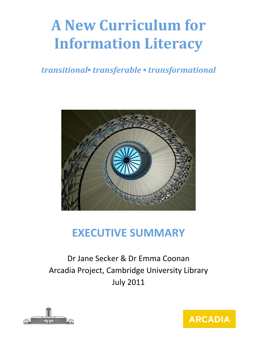# **A New Curriculum for Information Literacy**

### *transitional▪ transferable ▪ transformational*



## **EXECUTIVE SUMMARY**

Dr Jane Secker & Dr Emma Coonan Arcadia Project, Cambridge University Library July 2011



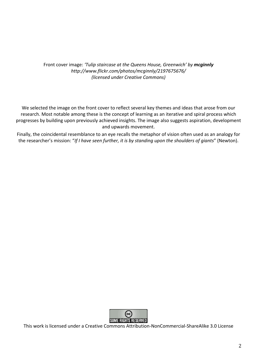#### Front cover image: *'Tulip staircase at the Queens House, Greenwich' by mcginnly http://www.flickr.com/photos/mcginnly/2197675676/ (licensed under Creative Commons)*

We selected the image on the front cover to reflect several key themes and ideas that arose from our research. Most notable among these is the concept of learning as an iterative and spiral process which progresses by building upon previously achieved insights. The image also suggests aspiration, development and upwards movement.

Finally, the coincidental resemblance to an eye recalls the metaphor of vision often used as an analogy for the researcher's mission: "*If I have seen further, it is by standing upon the shoulders of giants*" (Newton).



This work is licensed under a Creative Commons Attribution‐NonCommercial‐ShareAlike 3.0 License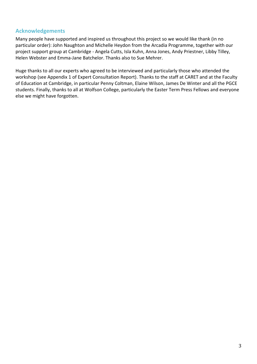#### **Acknowledgements**

Many people have supported and inspired us throughout this project so we would like thank (in no particular order): John Naughton and Michelle Heydon from the Arcadia Programme, together with our project support group at Cambridge ‐ Angela Cutts, Isla Kuhn, Anna Jones, Andy Priestner, Libby Tilley, Helen Webster and Emma‐Jane Batchelor. Thanks also to Sue Mehrer.

Huge thanks to all our experts who agreed to be interviewed and particularly those who attended the workshop (see Appendix 1 of Expert Consultation Report). Thanks to the staff at CARET and at the Faculty of Education at Cambridge, in particular Penny Coltman, Elaine Wilson, James De Winter and all the PGCE students. Finally, thanks to all at Wolfson College, particularly the Easter Term Press Fellows and everyone else we might have forgotten.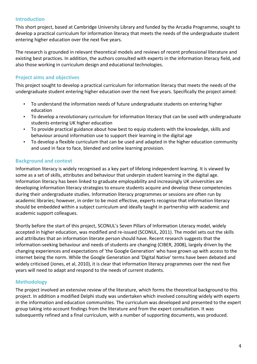#### **Introduction**

This short project, based at Cambridge University Library and funded by the Arcadia Programme, sought to develop a practical curriculum for information literacy that meets the needs of the undergraduate student entering higher education over the next five years.

The research is grounded in relevant theoretical models and reviews of recent professional literature and existing best practices. In addition, the authors consulted with experts in the information literacy field, and also those working in curriculum design and educational technologies.

#### **Project aims and objectives**

This project sought to develop a practical curriculum for information literacy that meets the needs of the undergraduate student entering higher education over the next five years. Specifically the project aimed:

- To understand the information needs of future undergraduate students on entering higher education
- To develop a revolutionary curriculum for information literacy that can be used with undergraduate students entering UK higher education
- To provide practical guidance about how best to equip students with the knowledge, skills and behaviour around information use to support their learning in the digital age
- To develop a flexible curriculum that can be used and adapted in the higher education community and used in face to face, blended and online learning provision.

#### **Background and context**

Information literacy is widely recognised as a key part of lifelong independent learning. It is viewed by some as a set of skills, attributes and behaviour that underpin student learning in the digital age. Information literacy has been linked to graduate employability and increasingly UK universities are developing information literacy strategies to ensure students acquire and develop these competencies during their undergraduate studies. Information literacy programmes or sessions are often run by academic libraries; however, in order to be most effective, experts recognise that information literacy should be embedded within a subject curriculum and ideally taught in partnership with academic and academic support colleagues.

Shortly before the start of this project, SCONUL's Seven Pillars of Information Literacy model, widely accepted in higher education, was modified and re‐issued (SCONUL, 2011). The model sets out the skills and attributes that an information literate person should have. Recent research suggests that the information‐seeking behaviour and needs of students are changing (CIBER, 2008), largely driven by the changing experiences and expectations of 'the Google Generation' who have grown up with access to the internet being the norm. While the Google Generation and 'Digital Native' terms have been debated and widely criticised (Jones, et al, 2010), it is clear that information literacy programmes over the next five years will need to adapt and respond to the needs of current students.

#### **Methodology**

The project involved an extensive review of the literature, which forms the theoretical background to this project. In addition a modified Delphi study was undertaken which involved consulting widely with experts in the information and education communities. The curriculum was developed and presented to the expert group taking into account findings from the literature and from the expert consultation. It was subsequently refined and a final curriculum, with a number of supporting documents, was produced.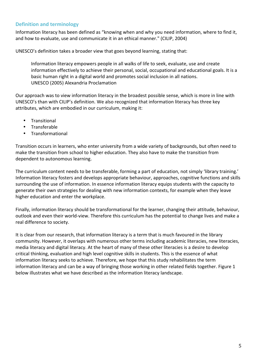#### **Definition and terminology**

Information literacy has been defined as "knowing when and why you need information, where to find it, and how to evaluate, use and communicate it in an ethical manner." (CILIP, 2004)

UNESCO's definition takes a broader view that goes beyond learning, stating that:

Information literacy empowers people in all walks of life to seek, evaluate, use and create information effectively to achieve their personal, social, occupational and educational goals. It is a basic human right in a digital world and promotes social inclusion in all nations. UNESCO (2005) Alexandria Proclamation

Our approach was to view information literacy in the broadest possible sense, which is more in line with UNESCO's than with CILIP's definition. We also recognized that information literacy has three key attributes, which are embodied in our curriculum, making it:

- Transitional
- Transferable
- Transformational

Transition occurs in learners, who enter university from a wide variety of backgrounds, but often need to make the transition from school to higher education. They also have to make the transition from dependent to autonomous learning.

The curriculum content needs to be transferable, forming a part of education, not simply 'library training.' Information literacy fosters and develops appropriate behaviour, approaches, cognitive functions and skills surrounding the use of information. In essence information literacy equips students with the capacity to generate their own strategies for dealing with new information contexts, for example when they leave higher education and enter the workplace.

Finally, information literacy should be transformational for the learner, changing their attitude, behaviour, outlook and even their world‐view. Therefore this curriculum has the potential to change lives and make a real difference to society.

It is clear from our research, that information literacy is a term that is much favoured in the library community. However, it overlaps with numerous other terms including academic literacies, new literacies, media literacy and digital literacy. At the heart of many of these other literacies is a desire to develop critical thinking, evaluation and high level cognitive skills in students. This is the essence of what information literacy seeks to achieve. Therefore, we hope that this study rehabilitates the term information literacy and can be a way of bringing those working in other related fields together. Figure 1 below illustrates what we have described as the information literacy landscape.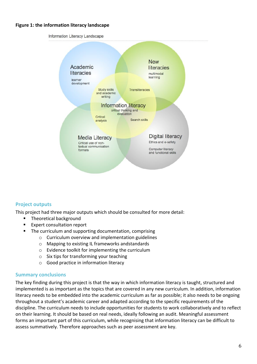#### **Figure 1: the information literacy landscape**

Information Literacy Landscape



#### **Project outputs**

This project had three major outputs which should be consulted for more detail:

- Theoretical background
- Expert consultation report
- **The curriculum and supporting documentation, comprising** 
	- o Curriculum overview and implementation guidelines
	- o Mapping to existing IL frameworks andstandards
	- o Evidence toolkit for implementing the curriculum
	- o Six tips for transforming your teaching
	- o Good practice in information literacy

#### **Summary conclusions**

The key finding during this project is that the way in which information literacy is taught, structured and implemented is as important as the topics that are covered in any new curriculum. In addition, information literacy needs to be embedded into the academic curriculum as far as possible; it also needs to be ongoing throughout a student's academic career and adapted according to the specific requirements of the discipline. The curriculum needs to include opportunities for students to work collaboratively and to reflect on their learning. It should be based on real needs, ideally following an audit. Meaningful assessment forms an important part of this curriculum, while recognising that information literacy can be difficult to assess summatively. Therefore approaches such as peer assessment are key.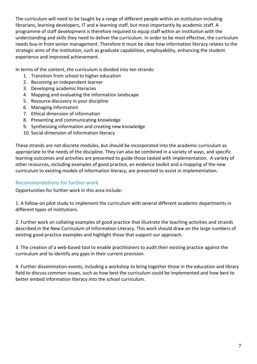The curriculum will need to be taught by a range of different people within an institution including librarians, learning developers, IT and e-learning staff, but most importantly by academic staff. A programme of staff development is therefore required to equip staff within an institution with the understanding and skills they need to deliver the curriculum. In order to be most effective, the curriculum needs buy‐in from senior management. Therefore it must be clear how information literacy relates to the strategic aims of the institution, such as graduate capabilities, employability, enhancing the student experience and improved achievement.

In terms of the content, the curriculum is divided into ten strands:

- 1. Transition from school to higher education
- 2. Becoming an independent learner
- 3. Developing academic literacies
- 4. Mapping and evaluating the information landscape
- 5. Resource discovery in your discipline
- 6. Managing information
- 7. Ethical dimension of information
- 8. Presenting and communicating knowledge
- 9. Synthesising information and creating new knowledge
- 10. Social dimension of information literacy

These strands are not discrete modules, but should be incorporated into the academic curriculum as appropriate to the needs of the discipline. They can also be combined in a variety of ways, and specific learning outcomes and activities are presented to guide those tasked with implementation. A variety of other resources, including examples of good practice, an evidence toolkit and a mapping of the new curriculum to existing models of information literacy, are presented to assist in implementation.

#### **Recommendations for further work**

Opportunities for further work in this area include:

1. A follow‐on pilot study to implement the curriculum with several different academic departments in different types of institutions.

2. Further work on collating examples of good practice that illustrate the teaching activities and strands described in the New Curriculum of Information Literacy. This work should draw on the large numbers of existing good practice examples and highlight those that support our approach.

3. The creation of a web‐based tool to enable practitioners to audit their existing practice against the curriculum and to identify any gaps in their current provision.

4. Further dissemination events, including a workshop to bring together those in the education and library field to discuss common issues, such as how best the curriculum could be implemented and how best to better embed information literacy into the school curriculum.